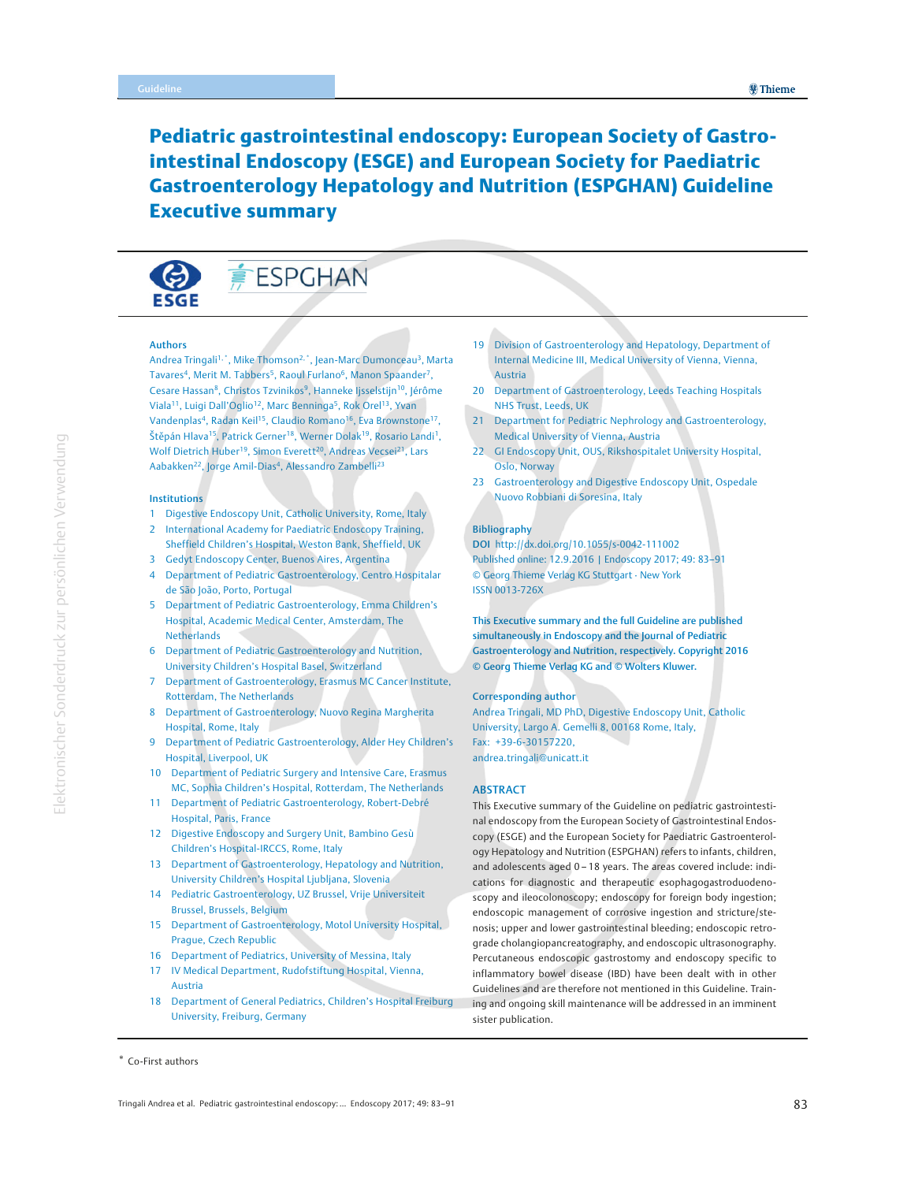# Pediatric gastrointestinal endoscopy: European Society of Gastrointestinal Endoscopy (ESGE) and European Society for Paediatric Gastroenterology Hepatology and Nutrition (ESPGHAN) Guideline Executive summary





#### Authors

Andrea Tringali<sup>1,\*</sup>, Mike Thomson<sup>2,\*</sup>, Jean-Marc Dumonceau<sup>3</sup>, Marta Tavares<sup>4</sup>, Merit M. Tabbers<sup>5</sup>, Raoul Furlano<sup>6</sup>, Manon Spaander<sup>7</sup>, Cesare Hassan<sup>8</sup>, Christos Tzvinikos<sup>9</sup>, Hanneke Ijsselstijn<sup>10</sup>, Jérôme Viala<sup>11</sup>, Luigi Dall'Oglio<sup>12</sup>, Marc Benninga<sup>5</sup>, Rok Orel<sup>13</sup>, Yvan Vandenplas<sup>4</sup>, Radan Keil<sup>15</sup>, Claudio Romano<sup>16</sup>, Eva Brownstone<sup>17</sup>, Štěpán Hlava<sup>15</sup>, Patrick Gerner<sup>18</sup>, Werner Dolak<sup>19</sup>, Rosario Landi<sup>1</sup>, Wolf Dietrich Huber<sup>19</sup>, Simon Everett<sup>20</sup>, Andreas Vecsei<sup>21</sup>, Lars Aabakken<sup>22</sup>, Jorge Amil-Dias<sup>4</sup>, Alessandro Zambelli<sup>23</sup>

#### Institutions

- 1 Digestive Endoscopy Unit, Catholic University, Rome, Italy
- 2 International Academy for Paediatric Endoscopy Training, Sheffield Children's Hospital, Weston Bank, Sheffield, UK
- 3 Gedyt Endoscopy Center, Buenos Aires, Argentina
- 4 Department of Pediatric Gastroenterology, Centro Hospitalar de São João, Porto, Portugal
- 5 Department of Pediatric Gastroenterology, Emma Children's Hospital, Academic Medical Center, Amsterdam, The Netherlands
- 6 Department of Pediatric Gastroenterology and Nutrition, University Children's Hospital Basel, Switzerland
- 7 Department of Gastroenterology, Erasmus MC Cancer Institute, Rotterdam, The Netherlands
- 8 Department of Gastroenterology, Nuovo Regina Margherita Hospital, Rome, Italy
- 9 Department of Pediatric Gastroenterology, Alder Hey Children's Hospital, Liverpool, UK
- 10 Department of Pediatric Surgery and Intensive Care, Erasmus MC, Sophia Children's Hospital, Rotterdam, The Netherlands
- 11 Department of Pediatric Gastroenterology, Robert-Debré Hospital, Paris, France
- 12 Digestive Endoscopy and Surgery Unit, Bambino Gesù Children's Hospital-IRCCS, Rome, Italy
- 13 Department of Gastroenterology, Hepatology and Nutrition, University Children's Hospital Ljubljana, Slovenia
- 14 Pediatric Gastroenterology, UZ Brussel, Vrije Universiteit Brussel, Brussels, Belgium
- 15 Department of Gastroenterology, Motol University Hospital, Prague, Czech Republic
- 16 Department of Pediatrics, University of Messina, Italy
- 17 IV Medical Department, Rudofstiftung Hospital, Vienna, Austria
- 18 Department of General Pediatrics, Children's Hospital Freiburg University, Freiburg, Germany
- 19 Division of Gastroenterology and Hepatology, Department of Internal Medicine III, Medical University of Vienna, Vienna, Austria
- 20 Department of Gastroenterology, Leeds Teaching Hospitals NHS Trust, Leeds, UK
- 21 Department for Pediatric Nephrology and Gastroenterology, Medical University of Vienna, Austria
- 22 GI Endoscopy Unit, OUS, Rikshospitalet University Hospital, Oslo, Norway
- 23 Gastroenterology and Digestive Endoscopy Unit, Ospedale Nuovo Robbiani di Soresina, Italy

#### Bibliography

DOI http://dx.doi.org/10.1055/s-0042-111002 Published online: 12.9.2016 | Endoscopy 2017; 49: 83–91 © Georg Thieme Verlag KG Stuttgart · New York ISSN 0013-726X

This Executive summary and the full Guideline are published simultaneously in Endoscopy and the Journal of Pediatric Gastroenterology and Nutrition, respectively. Copyright 2016 © Georg Thieme Verlag KG and © Wolters Kluwer.

#### Corresponding author

Andrea Tringali, MD PhD, Digestive Endoscopy Unit, Catholic University, Largo A. Gemelli 8, 00168 Rome, Italy, Fax: +39-6-30157220, andrea.tringali@unicatt.it

#### ABSTRACT

This Executive summary of the Guideline on pediatric gastrointestinal endoscopy from the European Society of Gastrointestinal Endoscopy (ESGE) and the European Society for Paediatric Gastroenterology Hepatology and Nutrition (ESPGHAN) refers to infants, children, and adolescents aged 0 – 18 years. The areas covered include: indications for diagnostic and therapeutic esophagogastroduodenoscopy and ileocolonoscopy; endoscopy for foreign body ingestion; endoscopic management of corrosive ingestion and stricture/stenosis; upper and lower gastrointestinal bleeding; endoscopic retrograde cholangiopancreatography, and endoscopic ultrasonography. Percutaneous endoscopic gastrostomy and endoscopy specific to inflammatory bowel disease (IBD) have been dealt with in other Guidelines and are therefore not mentioned in this Guideline. Training and ongoing skill maintenance will be addressed in an imminent sister publication.

\* Co-First authors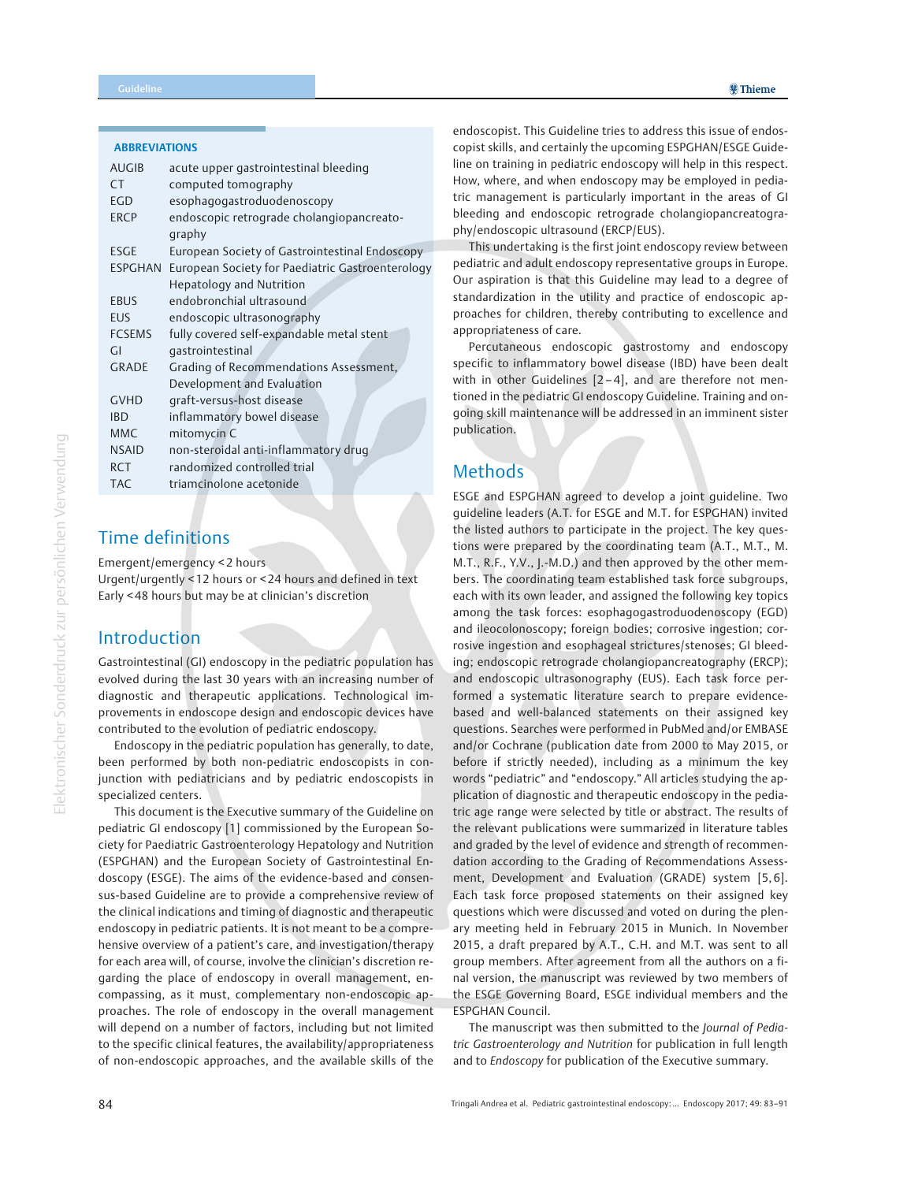#### ABBREVIATIONS

| <b>AUGIB</b>  | acute upper gastrointestinal bleeding            |
|---------------|--------------------------------------------------|
| CT.           | computed tomography                              |
| EGD           | esophagogastroduodenoscopy                       |
| <b>ERCP</b>   | endoscopic retrograde cholangiopancreato-        |
|               | graphy                                           |
| <b>ESGE</b>   | European Society of Gastrointestinal Endoscopy   |
| ESPGHAN       | European Society for Paediatric Gastroenterology |
|               | Hepatology and Nutrition                         |
| <b>EBUS</b>   | endobronchial ultrasound                         |
| <b>EUS</b>    | endoscopic ultrasonography                       |
| <b>FCSEMS</b> | fully covered self-expandable metal stent        |
| GI            | qastrointestinal                                 |
| <b>GRADE</b>  | Grading of Recommendations Assessment,           |
|               | Development and Evaluation                       |
| <b>GVHD</b>   | graft-versus-host disease                        |
| <b>IBD</b>    | inflammatory bowel disease                       |
| <b>MMC</b>    | mitomycin C                                      |
| <b>NSAID</b>  | non-steroidal anti-inflammatory drug             |
| <b>RCT</b>    | randomized controlled trial                      |
| <b>TAC</b>    | triamcinolone acetonide                          |

## Time definitions

Emergent/emergency < 2 hours

Urgent/urgently < 12 hours or < 24 hours and defined in text Early < 48 hours but may be at clinician's discretion

# Introduction

Gastrointestinal (GI) endoscopy in the pediatric population has evolved during the last 30 years with an increasing number of diagnostic and therapeutic applications. Technological improvements in endoscope design and endoscopic devices have contributed to the evolution of pediatric endoscopy.

Endoscopy in the pediatric population has generally, to date, been performed by both non-pediatric endoscopists in conjunction with pediatricians and by pediatric endoscopists in specialized centers.

This document is the Executive summary of the Guideline on pediatric GI endoscopy [1] commissioned by the European Society for Paediatric Gastroenterology Hepatology and Nutrition (ESPGHAN) and the European Society of Gastrointestinal Endoscopy (ESGE). The aims of the evidence-based and consensus-based Guideline are to provide a comprehensive review of the clinical indications and timing of diagnostic and therapeutic endoscopy in pediatric patients. It is not meant to be a comprehensive overview of a patient's care, and investigation/therapy for each area will, of course, involve the clinician's discretion regarding the place of endoscopy in overall management, encompassing, as it must, complementary non-endoscopic approaches. The role of endoscopy in the overall management will depend on a number of factors, including but not limited to the specific clinical features, the availability/appropriateness of non-endoscopic approaches, and the available skills of the

endoscopist. This Guideline tries to address this issue of endoscopist skills, and certainly the upcoming ESPGHAN/ESGE Guideline on training in pediatric endoscopy will help in this respect. How, where, and when endoscopy may be employed in pediatric management is particularly important in the areas of GI bleeding and endoscopic retrograde cholangiopancreatography/endoscopic ultrasound (ERCP/EUS).

This undertaking is the first joint endoscopy review between pediatric and adult endoscopy representative groups in Europe. Our aspiration is that this Guideline may lead to a degree of standardization in the utility and practice of endoscopic approaches for children, thereby contributing to excellence and appropriateness of care.

Percutaneous endoscopic gastrostomy and endoscopy specific to inflammatory bowel disease (IBD) have been dealt with in other Guidelines [2-4], and are therefore not mentioned in the pediatric GI endoscopy Guideline. Training and ongoing skill maintenance will be addressed in an imminent sister publication.

# **Methods**

ESGE and ESPGHAN agreed to develop a joint guideline. Two guideline leaders (A.T. for ESGE and M.T. for ESPGHAN) invited the listed authors to participate in the project. The key questions were prepared by the coordinating team (A.T., M.T., M. M.T., R.F., Y.V., J.-M.D.) and then approved by the other members. The coordinating team established task force subgroups, each with its own leader, and assigned the following key topics among the task forces: esophagogastroduodenoscopy (EGD) and ileocolonoscopy; foreign bodies; corrosive ingestion; corrosive ingestion and esophageal strictures/stenoses; GI bleeding; endoscopic retrograde cholangiopancreatography (ERCP); and endoscopic ultrasonography (EUS). Each task force performed a systematic literature search to prepare evidencebased and well-balanced statements on their assigned key questions. Searches were performed in PubMed and/or EMBASE and/or Cochrane (publication date from 2000 to May 2015, or before if strictly needed), including as a minimum the key words "pediatric" and "endoscopy." All articles studying the application of diagnostic and therapeutic endoscopy in the pediatric age range were selected by title or abstract. The results of the relevant publications were summarized in literature tables and graded by the level of evidence and strength of recommendation according to the Grading of Recommendations Assessment, Development and Evaluation (GRADE) system [5, 6]. Each task force proposed statements on their assigned key questions which were discussed and voted on during the plenary meeting held in February 2015 in Munich. In November 2015, a draft prepared by A.T., C.H. and M.T. was sent to all group members. After agreement from all the authors on a final version, the manuscript was reviewed by two members of the ESGE Governing Board, ESGE individual members and the ESPGHAN Council.

The manuscript was then submitted to the Journal of Pediatric Gastroenterology and Nutrition for publication in full length and to Endoscopy for publication of the Executive summary.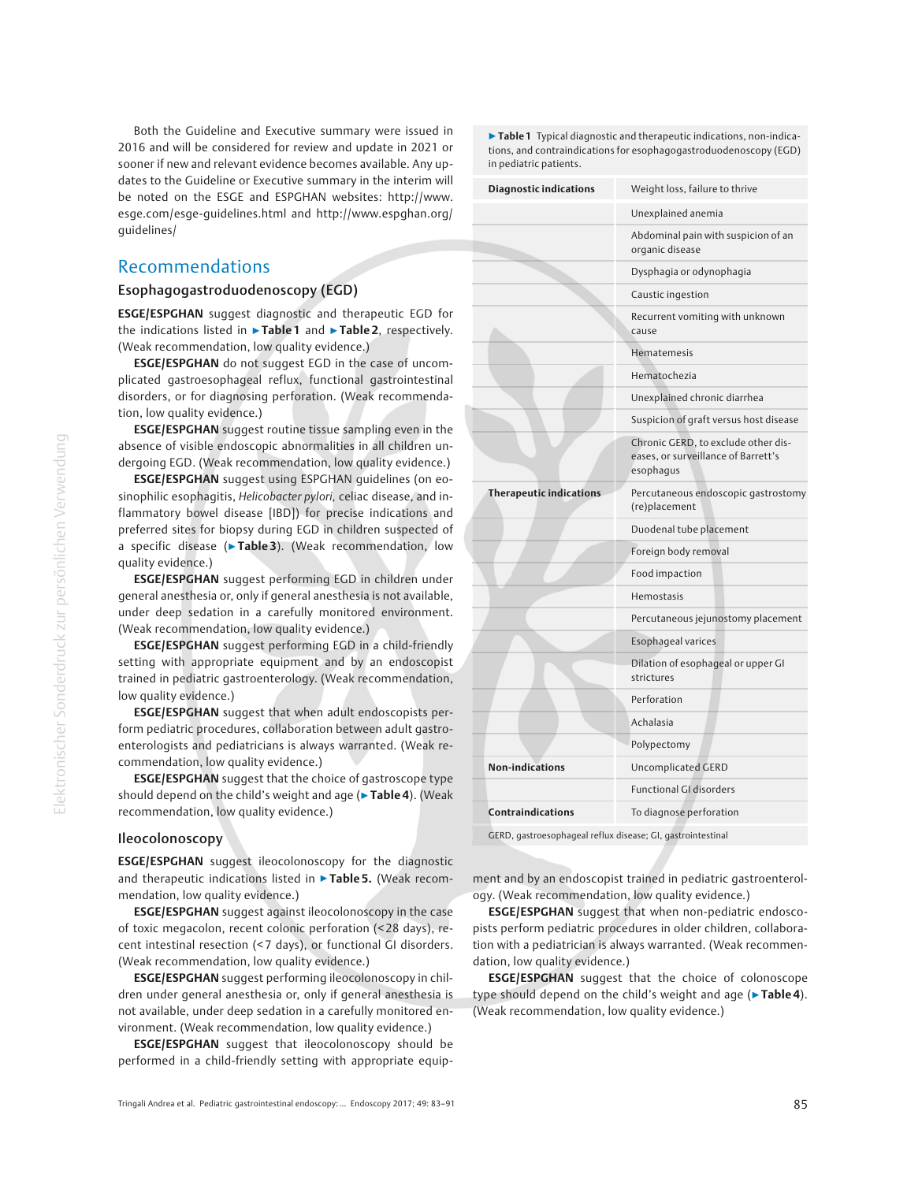Both the Guideline and Executive summary were issued in 2016 and will be considered for review and update in 2021 or sooner if new and relevant evidence becomes available. Any updates to the Guideline or Executive summary in the interim will be noted on the ESGE and ESPGHAN websites: http://www. esge.com/esge-guidelines.html and http://www.espghan.org/ guidelines/

## Recommendations

## Esophagogastroduodenoscopy (EGD)

ESGE/ESPGHAN suggest diagnostic and therapeutic EGD for the indications listed in ▶Table 1 and ▶Table 2, respectively. (Weak recommendation, low quality evidence.)

ESGE/ESPGHAN do not suggest EGD in the case of uncomplicated gastroesophageal reflux, functional gastrointestinal disorders, or for diagnosing perforation. (Weak recommendation, low quality evidence.)

ESGE/ESPGHAN suggest routine tissue sampling even in the absence of visible endoscopic abnormalities in all children undergoing EGD. (Weak recommendation, low quality evidence.)

ESGE/ESPGHAN suggest using ESPGHAN guidelines (on eosinophilic esophagitis, Helicobacter pylori, celiac disease, and inflammatory bowel disease [IBD]) for precise indications and preferred sites for biopsy during EGD in children suspected of a specific disease (▶Table 3). (Weak recommendation, low quality evidence.)

ESGE/ESPGHAN suggest performing EGD in children under general anesthesia or, only if general anesthesia is not available, under deep sedation in a carefully monitored environment. (Weak recommendation, low quality evidence.)

ESGE/ESPGHAN suggest performing EGD in a child-friendly setting with appropriate equipment and by an endoscopist trained in pediatric gastroenterology. (Weak recommendation, low quality evidence.)

ESGE/ESPGHAN suggest that when adult endoscopists perform pediatric procedures, collaboration between adult gastroenterologists and pediatricians is always warranted. (Weak recommendation, low quality evidence.)

ESGE/ESPGHAN suggest that the choice of gastroscope type should depend on the child's weight and age (▶ Table 4). (Weak recommendation, low quality evidence.)

#### Ileocolonoscopy

ESGE/ESPGHAN suggest ileocolonoscopy for the diagnostic and therapeutic indications listed in ▶Table 5. (Weak recommendation, low quality evidence.)

ESGE/ESPGHAN suggest against ileocolonoscopy in the case of toxic megacolon, recent colonic perforation (< 28 days), recent intestinal resection (< 7 days), or functional GI disorders. (Weak recommendation, low quality evidence.)

ESGE/ESPGHAN suggest performing ileocolonoscopy in children under general anesthesia or, only if general anesthesia is not available, under deep sedation in a carefully monitored environment. (Weak recommendation, low quality evidence.)

ESGE/ESPGHAN suggest that ileocolonoscopy should be performed in a child-friendly setting with appropriate equip▶ Table 1 Typical diagnostic and therapeutic indications, non-indications, and contraindications for esophagogastroduodenoscopy (EGD) in pediatric patients.

| <b>Diagnostic indications</b>                               | Weight loss, failure to thrive                                                          |  |
|-------------------------------------------------------------|-----------------------------------------------------------------------------------------|--|
|                                                             | Unexplained anemia                                                                      |  |
|                                                             | Abdominal pain with suspicion of an<br>organic disease                                  |  |
|                                                             | Dysphagia or odynophagia                                                                |  |
|                                                             | Caustic ingestion                                                                       |  |
|                                                             | Recurrent vomiting with unknown<br>cause                                                |  |
|                                                             | Hematemesis                                                                             |  |
|                                                             | Hematochezia                                                                            |  |
|                                                             | Unexplained chronic diarrhea                                                            |  |
|                                                             | Suspicion of graft versus host disease                                                  |  |
|                                                             | Chronic GERD, to exclude other dis-<br>eases, or surveillance of Barrett's<br>esophagus |  |
| <b>Therapeutic indications</b>                              | Percutaneous endoscopic gastrostomy<br>(re)placement                                    |  |
|                                                             | Duodenal tube placement                                                                 |  |
|                                                             | Foreign body removal                                                                    |  |
|                                                             | Food impaction                                                                          |  |
|                                                             | Hemostasis                                                                              |  |
|                                                             | Percutaneous jejunostomy placement                                                      |  |
|                                                             | Esophageal varices                                                                      |  |
|                                                             | Dilation of esophageal or upper GI<br>strictures                                        |  |
|                                                             | Perforation                                                                             |  |
|                                                             | Achalasia                                                                               |  |
|                                                             | Polypectomy                                                                             |  |
| <b>Non-indications</b>                                      | Uncomplicated GERD                                                                      |  |
|                                                             | <b>Functional GL disorders</b>                                                          |  |
| <b>Contraindications</b>                                    | To diagnose perforation                                                                 |  |
| GERD, gastroesophageal reflux disease; GI, gastrointestinal |                                                                                         |  |

ment and by an endoscopist trained in pediatric gastroenterology. (Weak recommendation, low quality evidence.)

ESGE/ESPGHAN suggest that when non-pediatric endoscopists perform pediatric procedures in older children, collaboration with a pediatrician is always warranted. (Weak recommendation, low quality evidence.)

ESGE/ESPGHAN suggest that the choice of colonoscope type should depend on the child's weight and age (▶Table 4). (Weak recommendation, low quality evidence.)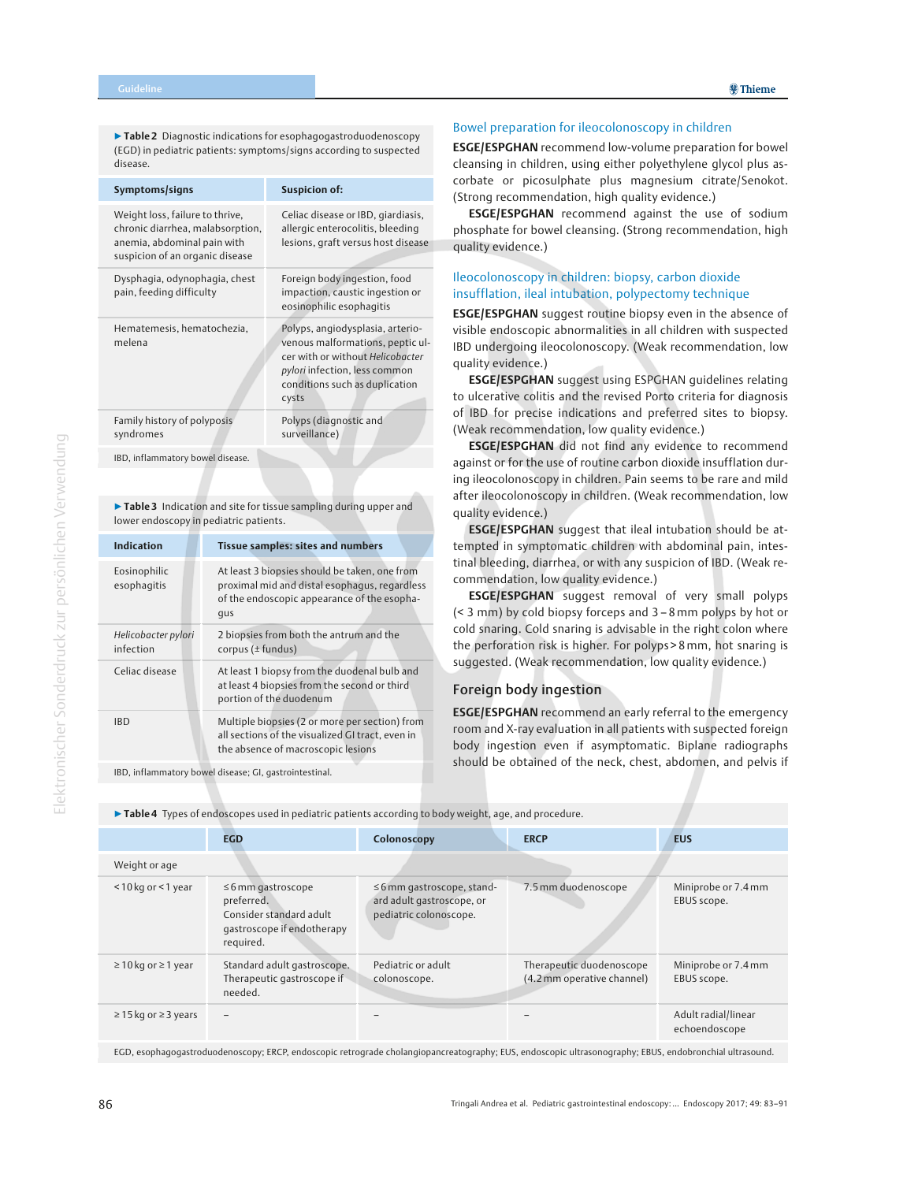▶ Table 2 Diagnostic indications for esophagogastroduodenoscopy (EGD) in pediatric patients: symptoms/signs according to suspected disease.

| Symptoms/signs                                                                                                                        | <b>Suspicion of:</b>                                                                                                                                                                 |  |
|---------------------------------------------------------------------------------------------------------------------------------------|--------------------------------------------------------------------------------------------------------------------------------------------------------------------------------------|--|
| Weight loss, failure to thrive,<br>chronic diarrhea, malabsorption,<br>anemia, abdominal pain with<br>suspicion of an organic disease | Celiac disease or IBD, giardiasis,<br>allergic enterocolitis, bleeding<br>lesions, graft versus host disease                                                                         |  |
| Dysphagia, odynophagia, chest<br>pain, feeding difficulty                                                                             | Foreign body ingestion, food<br>impaction, caustic ingestion or<br>eosinophilic esophagitis                                                                                          |  |
| Hematemesis, hematochezia,<br>melena                                                                                                  | Polyps, angiodysplasia, arterio-<br>venous malformations, peptic ul-<br>cer with or without Helicobacter<br>pylori infection, less common<br>conditions such as duplication<br>cysts |  |
| Family history of polyposis<br>syndromes                                                                                              | Polyps (diagnostic and<br>surveillance)                                                                                                                                              |  |
| IBD, inflammatory bowel disease.                                                                                                      |                                                                                                                                                                                      |  |

▶ Table 3 Indication and site for tissue sampling during upper and lower endoscopy in pediatric patients.

| <b>Indication</b>                | <b>Tissue samples: sites and numbers</b>                                                                                                             |
|----------------------------------|------------------------------------------------------------------------------------------------------------------------------------------------------|
| Eosinophilic<br>esophagitis      | At least 3 biopsies should be taken, one from<br>proximal mid and distal esophagus, regardless<br>of the endoscopic appearance of the esopha-<br>qus |
| Helicobacter pylori<br>infection | 2 biopsies from both the antrum and the<br>corpus $(\pm$ fundus)                                                                                     |
| Celiac disease                   | At least 1 biopsy from the duodenal bulb and<br>at least 4 biopsies from the second or third<br>portion of the duodenum                              |
| <b>IBD</b>                       | Multiple biopsies (2 or more per section) from<br>all sections of the visualized GI tract, even in<br>the absence of macroscopic lesions             |

IBD, inflammatory bowel disease; GI, gastrointestinal.

#### Bowel preparation for ileocolonoscopy in children

ESGE/ESPGHAN recommend low-volume preparation for bowel cleansing in children, using either polyethylene glycol plus ascorbate or picosulphate plus magnesium citrate/Senokot. (Strong recommendation, high quality evidence.)

ESGE/ESPGHAN recommend against the use of sodium phosphate for bowel cleansing. (Strong recommendation, high quality evidence.)

### Ileocolonoscopy in children: biopsy, carbon dioxide insufflation, ileal intubation, polypectomy technique

ESGE/ESPGHAN suggest routine biopsy even in the absence of visible endoscopic abnormalities in all children with suspected IBD undergoing ileocolonoscopy. (Weak recommendation, low quality evidence.)

ESGE/ESPGHAN suggest using ESPGHAN guidelines relating to ulcerative colitis and the revised Porto criteria for diagnosis of IBD for precise indications and preferred sites to biopsy. (Weak recommendation, low quality evidence.)

ESGE/ESPGHAN did not find any evidence to recommend against or for the use of routine carbon dioxide insufflation during ileocolonoscopy in children. Pain seems to be rare and mild after ileocolonoscopy in children. (Weak recommendation, low quality evidence.)

ESGE/ESPGHAN suggest that ileal intubation should be attempted in symptomatic children with abdominal pain, intestinal bleeding, diarrhea, or with any suspicion of IBD. (Weak recommendation, low quality evidence.)

ESGE/ESPGHAN suggest removal of very small polyps (< 3 mm) by cold biopsy forceps and 3 – 8mm polyps by hot or cold snaring. Cold snaring is advisable in the right colon where the perforation risk is higher. For polyps > 8 mm, hot snaring is suggested. (Weak recommendation, low quality evidence.)

#### Foreign body ingestion

ESGE/ESPGHAN recommend an early referral to the emergency room and X-ray evaluation in all patients with suspected foreign body ingestion even if asymptomatic. Biplane radiographs should be obtained of the neck, chest, abdomen, and pelvis if

▶Table 4 Types of endoscopes used in pediatric patients according to body weight, age, and procedure.

|                                | <b>EGD</b>                                                                                                  | Colonoscopy                                                                            | <b>ERCP</b>                                            | <b>EUS</b>                           |
|--------------------------------|-------------------------------------------------------------------------------------------------------------|----------------------------------------------------------------------------------------|--------------------------------------------------------|--------------------------------------|
| Weight or age                  |                                                                                                             |                                                                                        |                                                        |                                      |
| <10 kg or <1 year              | $\leq$ 6 mm gastroscope<br>preferred.<br>Consider standard adult<br>gastroscope if endotherapy<br>required. | $\leq$ 6 mm gastroscope, stand-<br>ard adult gastroscope, or<br>pediatric colonoscope. | 7.5 mm duodenoscope                                    | Miniprobe or 7.4mm<br>EBUS scope.    |
| $\geq$ 10 kg or $\geq$ 1 year  | Standard adult gastroscope.<br>Therapeutic gastroscope if<br>needed.                                        | Pediatric or adult<br>colonoscope.                                                     | Therapeutic duodenoscope<br>(4.2 mm operative channel) | Miniprobe or 7.4mm<br>EBUS scope.    |
| $\geq$ 15 kg or $\geq$ 3 years |                                                                                                             |                                                                                        |                                                        | Adult radial/linear<br>echoendoscope |

EGD, esophagogastroduodenoscopy; ERCP, endoscopic retrograde cholangiopancreatography; EUS, endoscopic ultrasonography; EBUS, endobronchial ultrasound.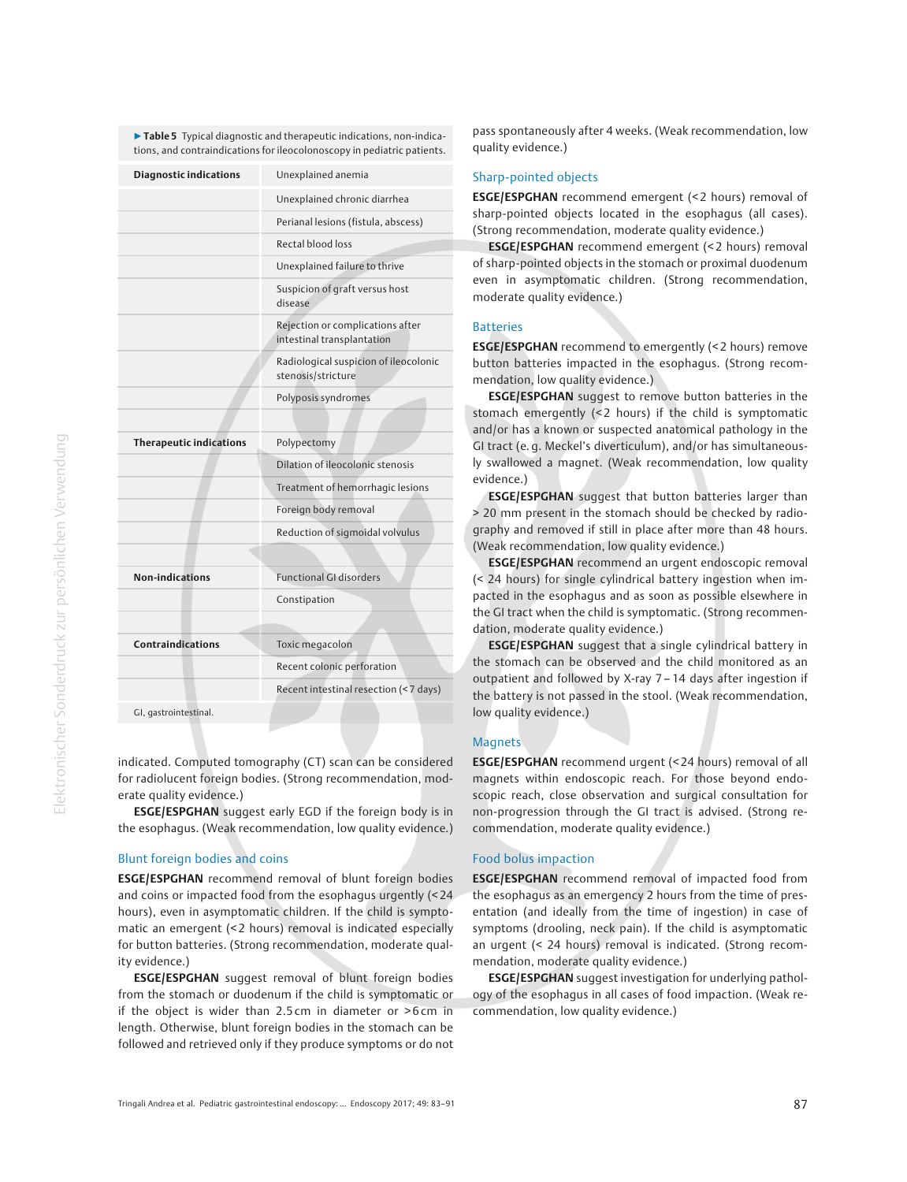▶Table 5 Typical diagnostic and therapeutic indications, non-indications, and contraindications for ileocolonoscopy in pediatric patients.

| <b>Diagnostic indications</b>  | Unexplained anemia                                             |  |
|--------------------------------|----------------------------------------------------------------|--|
|                                | Unexplained chronic diarrhea                                   |  |
|                                | Perianal lesions (fistula, abscess)                            |  |
|                                | Rectal blood loss                                              |  |
|                                | Unexplained failure to thrive                                  |  |
|                                | Suspicion of graft versus host<br>disease                      |  |
|                                | Rejection or complications after<br>intestinal transplantation |  |
|                                | Radiological suspicion of ileocolonic<br>stenosis/stricture    |  |
|                                | Polyposis syndromes                                            |  |
|                                |                                                                |  |
| <b>Therapeutic indications</b> | Polypectomy                                                    |  |
|                                | Dilation of ileocolonic stenosis                               |  |
|                                | Treatment of hemorrhagic lesions                               |  |
|                                | Foreign body removal                                           |  |
|                                | Reduction of sigmoidal volvulus                                |  |
|                                |                                                                |  |
| <b>Non-indications</b>         | <b>Functional GL disorders</b>                                 |  |
|                                | Constipation                                                   |  |
|                                |                                                                |  |
| <b>Contraindications</b>       | Toxic megacolon                                                |  |
|                                | Recent colonic perforation                                     |  |
|                                | Recent intestinal resection (<7 days)                          |  |
| GI, gastrointestinal.          |                                                                |  |

indicated. Computed tomography (CT) scan can be considered for radiolucent foreign bodies. (Strong recommendation, moderate quality evidence.)

ESGE/ESPGHAN suggest early EGD if the foreign body is in the esophagus. (Weak recommendation, low quality evidence.)

## Blunt foreign bodies and coins

ESGE/ESPGHAN recommend removal of blunt foreign bodies and coins or impacted food from the esophagus urgently (< 24 hours), even in asymptomatic children. If the child is symptomatic an emergent (< 2 hours) removal is indicated especially for button batteries. (Strong recommendation, moderate quality evidence.)

ESGE/ESPGHAN suggest removal of blunt foreign bodies from the stomach or duodenum if the child is symptomatic or if the object is wider than 2.5 cm in diameter or > 6 cm in length. Otherwise, blunt foreign bodies in the stomach can be followed and retrieved only if they produce symptoms or do not pass spontaneously after 4 weeks. (Weak recommendation, low quality evidence.)

## Sharp-pointed objects

ESGE/ESPGHAN recommend emergent (< 2 hours) removal of sharp-pointed objects located in the esophagus (all cases). (Strong recommendation, moderate quality evidence.)

ESGE/ESPGHAN recommend emergent (< 2 hours) removal of sharp-pointed objects in the stomach or proximal duodenum even in asymptomatic children. (Strong recommendation, moderate quality evidence.)

## Batteries

ESGE/ESPGHAN recommend to emergently (< 2 hours) remove button batteries impacted in the esophagus. (Strong recommendation, low quality evidence.)

ESGE/ESPGHAN suggest to remove button batteries in the stomach emergently (< 2 hours) if the child is symptomatic and/or has a known or suspected anatomical pathology in the GI tract (e. g. Meckel's diverticulum), and/or has simultaneously swallowed a magnet. (Weak recommendation, low quality evidence.)

ESGE/ESPGHAN suggest that button batteries larger than > 20 mm present in the stomach should be checked by radiography and removed if still in place after more than 48 hours. (Weak recommendation, low quality evidence.)

ESGE/ESPGHAN recommend an urgent endoscopic removal (< 24 hours) for single cylindrical battery ingestion when impacted in the esophagus and as soon as possible elsewhere in the GI tract when the child is symptomatic. (Strong recommendation, moderate quality evidence.)

ESGE/ESPGHAN suggest that a single cylindrical battery in the stomach can be observed and the child monitored as an outpatient and followed by X-ray 7 – 14 days after ingestion if the battery is not passed in the stool. (Weak recommendation, low quality evidence.)

## Magnets

ESGE/ESPGHAN recommend urgent (< 24 hours) removal of all magnets within endoscopic reach. For those beyond endoscopic reach, close observation and surgical consultation for non-progression through the GI tract is advised. (Strong recommendation, moderate quality evidence.)

## Food bolus impaction

ESGE/ESPGHAN recommend removal of impacted food from the esophagus as an emergency 2 hours from the time of presentation (and ideally from the time of ingestion) in case of symptoms (drooling, neck pain). If the child is asymptomatic an urgent (< 24 hours) removal is indicated. (Strong recommendation, moderate quality evidence.)

ESGE/ESPGHAN suggest investigation for underlying pathology of the esophagus in all cases of food impaction. (Weak recommendation, low quality evidence.)

 $\frac{e}{\Box}$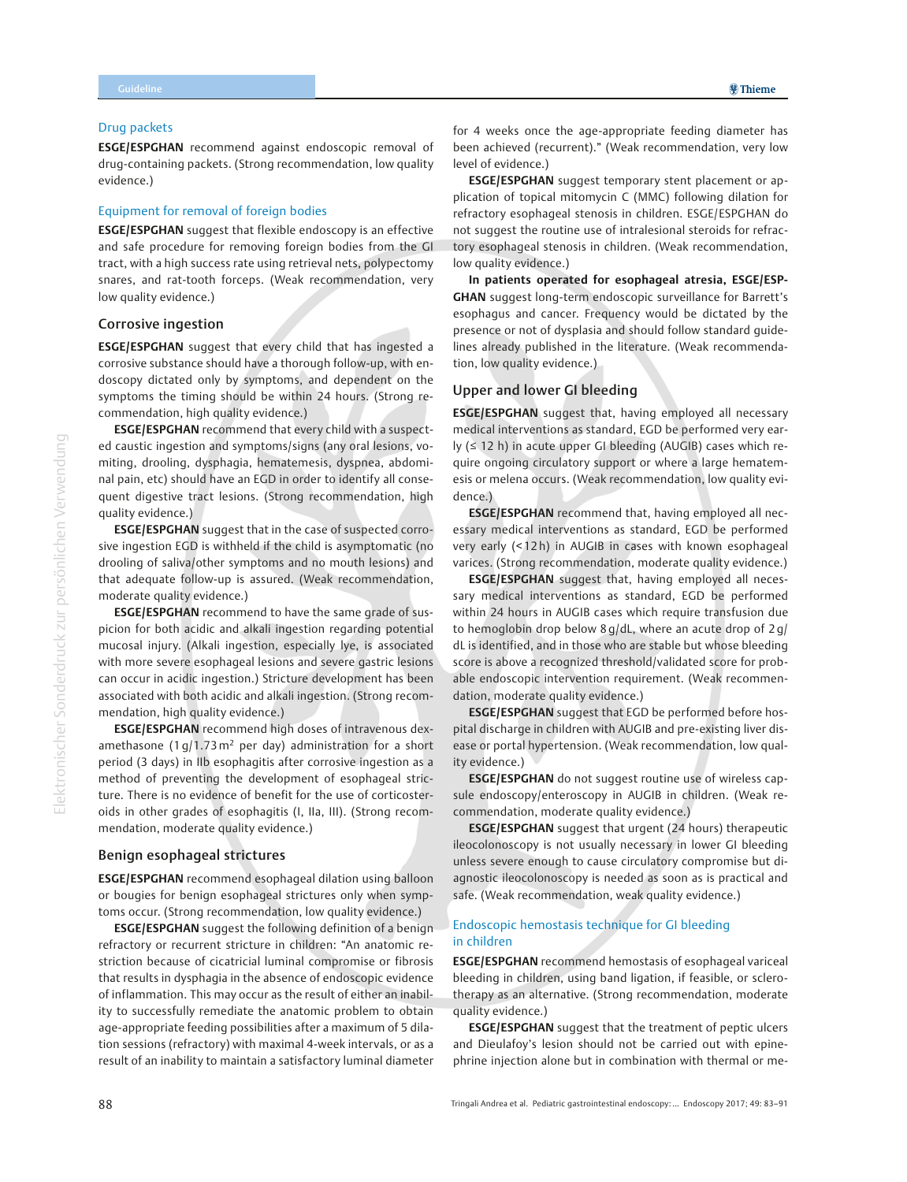#### Drug packets

ESGE/ESPGHAN recommend against endoscopic removal of drug-containing packets. (Strong recommendation, low quality evidence.)

#### Equipment for removal of foreign bodies

ESGE/ESPGHAN suggest that flexible endoscopy is an effective and safe procedure for removing foreign bodies from the GI tract, with a high success rate using retrieval nets, polypectomy snares, and rat-tooth forceps. (Weak recommendation, very low quality evidence.)

#### Corrosive ingestion

ESGE/ESPGHAN suggest that every child that has ingested a corrosive substance should have a thorough follow-up, with endoscopy dictated only by symptoms, and dependent on the symptoms the timing should be within 24 hours. (Strong recommendation, high quality evidence.)

ESGE/ESPGHAN recommend that every child with a suspected caustic ingestion and symptoms/signs (any oral lesions, vomiting, drooling, dysphagia, hematemesis, dyspnea, abdominal pain, etc) should have an EGD in order to identify all consequent digestive tract lesions. (Strong recommendation, high quality evidence.)

ESGE/ESPGHAN suggest that in the case of suspected corrosive ingestion EGD is withheld if the child is asymptomatic (no drooling of saliva/other symptoms and no mouth lesions) and that adequate follow-up is assured. (Weak recommendation, moderate quality evidence.)

ESGE/ESPGHAN recommend to have the same grade of suspicion for both acidic and alkali ingestion regarding potential mucosal injury. (Alkali ingestion, especially lye, is associated with more severe esophageal lesions and severe gastric lesions can occur in acidic ingestion.) Stricture development has been associated with both acidic and alkali ingestion. (Strong recommendation, high quality evidence.)

ESGE/ESPGHAN recommend high doses of intravenous dexamethasone (1 $g/1.73$  m<sup>2</sup> per day) administration for a short period (3 days) in IIb esophagitis after corrosive ingestion as a method of preventing the development of esophageal stricture. There is no evidence of benefit for the use of corticosteroids in other grades of esophagitis (I, IIa, III). (Strong recommendation, moderate quality evidence.)

#### Benign esophageal strictures

ESGE/ESPGHAN recommend esophageal dilation using balloon or bougies for benign esophageal strictures only when symptoms occur. (Strong recommendation, low quality evidence.)

ESGE/ESPGHAN suggest the following definition of a benign refractory or recurrent stricture in children: "An anatomic restriction because of cicatricial luminal compromise or fibrosis that results in dysphagia in the absence of endoscopic evidence of inflammation. This may occur as the result of either an inability to successfully remediate the anatomic problem to obtain age-appropriate feeding possibilities after a maximum of 5 dilation sessions (refractory) with maximal 4-week intervals, or as a result of an inability to maintain a satisfactory luminal diameter

for 4 weeks once the age-appropriate feeding diameter has been achieved (recurrent)." (Weak recommendation, very low level of evidence.)

ESGE/ESPGHAN suggest temporary stent placement or application of topical mitomycin C (MMC) following dilation for refractory esophageal stenosis in children. ESGE/ESPGHAN do not suggest the routine use of intralesional steroids for refractory esophageal stenosis in children. (Weak recommendation, low quality evidence.)

In patients operated for esophageal atresia, ESGE/ESP-GHAN suggest long-term endoscopic surveillance for Barrett's esophagus and cancer. Frequency would be dictated by the presence or not of dysplasia and should follow standard guidelines already published in the literature. (Weak recommendation, low quality evidence.)

## Upper and lower GI bleeding

ESGE/ESPGHAN suggest that, having employed all necessary medical interventions as standard, EGD be performed very early (≤ 12 h) in acute upper GI bleeding (AUGIB) cases which require ongoing circulatory support or where a large hematemesis or melena occurs. (Weak recommendation, low quality evidence.)

ESGE/ESPGHAN recommend that, having employed all necessary medical interventions as standard, EGD be performed very early (< 12 h) in AUGIB in cases with known esophageal varices. (Strong recommendation, moderate quality evidence.)

ESGE/ESPGHAN suggest that, having employed all necessary medical interventions as standard, EGD be performed within 24 hours in AUGIB cases which require transfusion due to hemoglobin drop below 8 g/dL, where an acute drop of 2 g/ dL is identified, and in those who are stable but whose bleeding score is above a recognized threshold/validated score for probable endoscopic intervention requirement. (Weak recommendation, moderate quality evidence.)

ESGE/ESPGHAN suggest that EGD be performed before hospital discharge in children with AUGIB and pre-existing liver disease or portal hypertension. (Weak recommendation, low quality evidence.)

ESGE/ESPGHAN do not suggest routine use of wireless capsule endoscopy/enteroscopy in AUGIB in children. (Weak recommendation, moderate quality evidence.)

ESGE/ESPGHAN suggest that urgent (24 hours) therapeutic ileocolonoscopy is not usually necessary in lower GI bleeding unless severe enough to cause circulatory compromise but diagnostic ileocolonoscopy is needed as soon as is practical and safe. (Weak recommendation, weak quality evidence.)

## Endoscopic hemostasis technique for GI bleeding in children

ESGE/ESPGHAN recommend hemostasis of esophageal variceal bleeding in children, using band ligation, if feasible, or sclerotherapy as an alternative. (Strong recommendation, moderate quality evidence.)

ESGE/ESPGHAN suggest that the treatment of peptic ulcers and Dieulafoy's lesion should not be carried out with epinephrine injection alone but in combination with thermal or me-

 $\frac{e}{\Box}$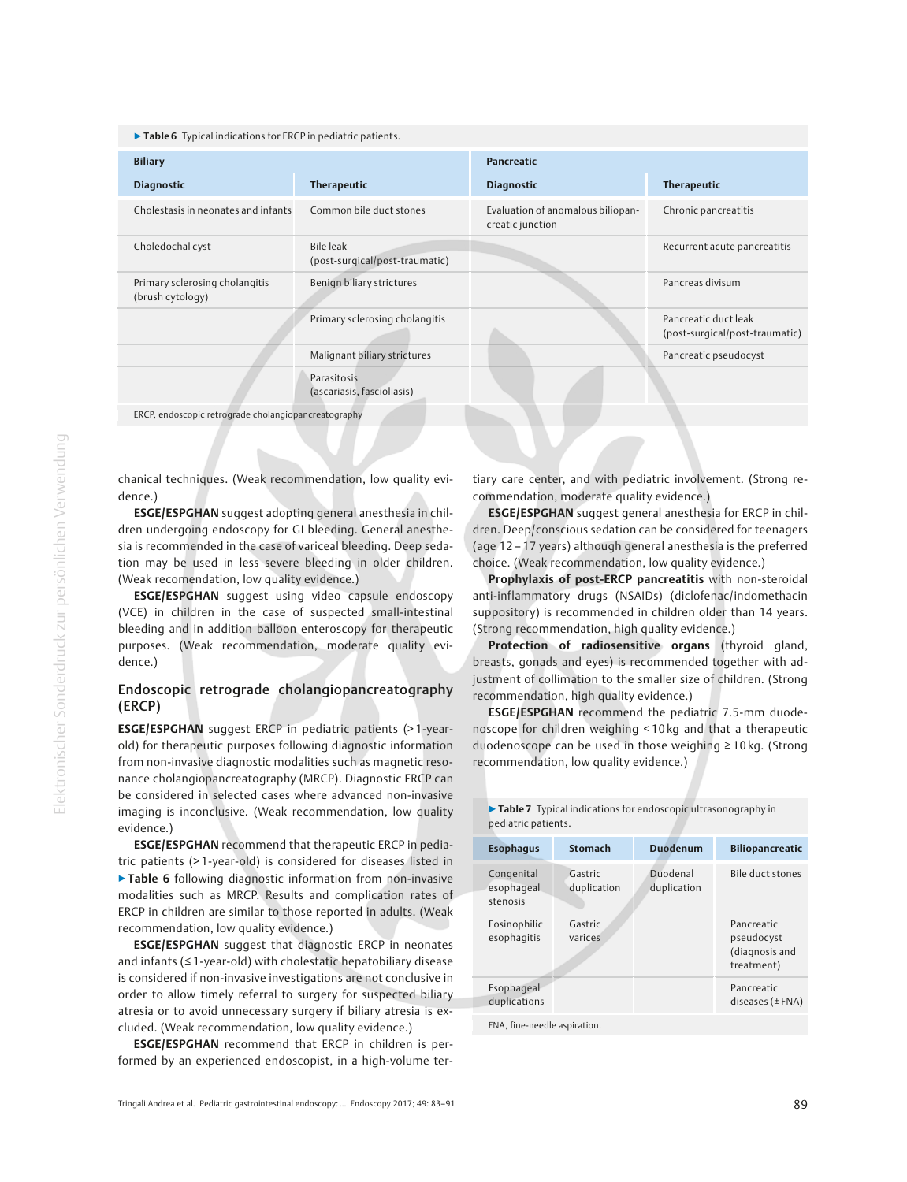▶ Table 6 Typical indications for ERCP in pediatric patients.

| <b>Biliary</b>                                       |                                             | <b>Pancreatic</b>                                     |                                                        |
|------------------------------------------------------|---------------------------------------------|-------------------------------------------------------|--------------------------------------------------------|
| <b>Diagnostic</b>                                    | <b>Therapeutic</b>                          | <b>Diagnostic</b>                                     | <b>Therapeutic</b>                                     |
| Cholestasis in neonates and infants                  | Common bile duct stones                     | Evaluation of anomalous biliopan-<br>creatic junction | Chronic pancreatitis                                   |
| Choledochal cyst                                     | Bile leak<br>(post-surgical/post-traumatic) |                                                       | Recurrent acute pancreatitis                           |
| Primary sclerosing cholangitis<br>(brush cytology)   | Benign biliary strictures                   |                                                       | Pancreas divisum                                       |
|                                                      | Primary sclerosing cholangitis              |                                                       | Pancreatic duct leak<br>(post-surgical/post-traumatic) |
|                                                      | Malignant biliary strictures                |                                                       | Pancreatic pseudocyst                                  |
|                                                      | Parasitosis<br>(ascariasis, fascioliasis)   |                                                       |                                                        |
| ERCP, endoscopic retrograde cholangiopancreatography |                                             |                                                       |                                                        |

chanical techniques. (Weak recommendation, low quality evidence.)

ESGE/ESPGHAN suggest adopting general anesthesia in children undergoing endoscopy for GI bleeding. General anesthesia is recommended in the case of variceal bleeding. Deep sedation may be used in less severe bleeding in older children. (Weak recomendation, low quality evidence.)

ESGE/ESPGHAN suggest using video capsule endoscopy (VCE) in children in the case of suspected small-intestinal bleeding and in addition balloon enteroscopy for therapeutic purposes. (Weak recommendation, moderate quality evidence.)

## Endoscopic retrograde cholangiopancreatography (ERCP)

ESGE/ESPGHAN suggest ERCP in pediatric patients (> 1-yearold) for therapeutic purposes following diagnostic information from non-invasive diagnostic modalities such as magnetic resonance cholangiopancreatography (MRCP). Diagnostic ERCP can be considered in selected cases where advanced non-invasive imaging is inconclusive. (Weak recommendation, low quality evidence.)

ESGE/ESPGHAN recommend that therapeutic ERCP in pediatric patients (> 1-year-old) is considered for diseases listed in ▶Table 6 following diagnostic information from non-invasive modalities such as MRCP. Results and complication rates of ERCP in children are similar to those reported in adults. (Weak recommendation, low quality evidence.)

ESGE/ESPGHAN suggest that diagnostic ERCP in neonates and infants (≤ 1-year-old) with cholestatic hepatobiliary disease is considered if non-invasive investigations are not conclusive in order to allow timely referral to surgery for suspected biliary atresia or to avoid unnecessary surgery if biliary atresia is excluded. (Weak recommendation, low quality evidence.)

ESGE/ESPGHAN recommend that ERCP in children is performed by an experienced endoscopist, in a high-volume tertiary care center, and with pediatric involvement. (Strong recommendation, moderate quality evidence.)

ESGE/ESPGHAN suggest general anesthesia for ERCP in children. Deep/conscious sedation can be considered for teenagers (age 12 – 17 years) although general anesthesia is the preferred choice. (Weak recommendation, low quality evidence.)

Prophylaxis of post-ERCP pancreatitis with non-steroidal anti-inflammatory drugs (NSAIDs) (diclofenac/indomethacin suppository) is recommended in children older than 14 years. (Strong recommendation, high quality evidence.)

Protection of radiosensitive organs (thyroid gland, breasts, gonads and eyes) is recommended together with adjustment of collimation to the smaller size of children. (Strong recommendation, high quality evidence.)

ESGE/ESPGHAN recommend the pediatric 7.5-mm duodenoscope for children weighing < 10 kg and that a therapeutic duodenoscope can be used in those weighing ≥ 10 kg. (Strong recommendation, low quality evidence.)

| • Table 7 Typical indications for endoscopic ultrasonography in |  |
|-----------------------------------------------------------------|--|
| pediatric patients.                                             |  |

| <b>Esophagus</b>                     | Stomach                | <b>Duodenum</b>         | <b>Biliopancreatic</b>                                   |
|--------------------------------------|------------------------|-------------------------|----------------------------------------------------------|
| Congenital<br>esophageal<br>stenosis | Gastric<br>duplication | Duodenal<br>duplication | <b>Bile duct stones</b>                                  |
| Eosinophilic<br>esophagitis          | Gastric<br>varices     |                         | Pancreatic<br>pseudocyst<br>(diagnosis and<br>treatment) |
| Esophageal<br>duplications           |                        |                         | Pancreatic<br>diseases $(\pm$ FNA)                       |

FNA, fine-needle aspiration.

 $\frac{e}{\Box}$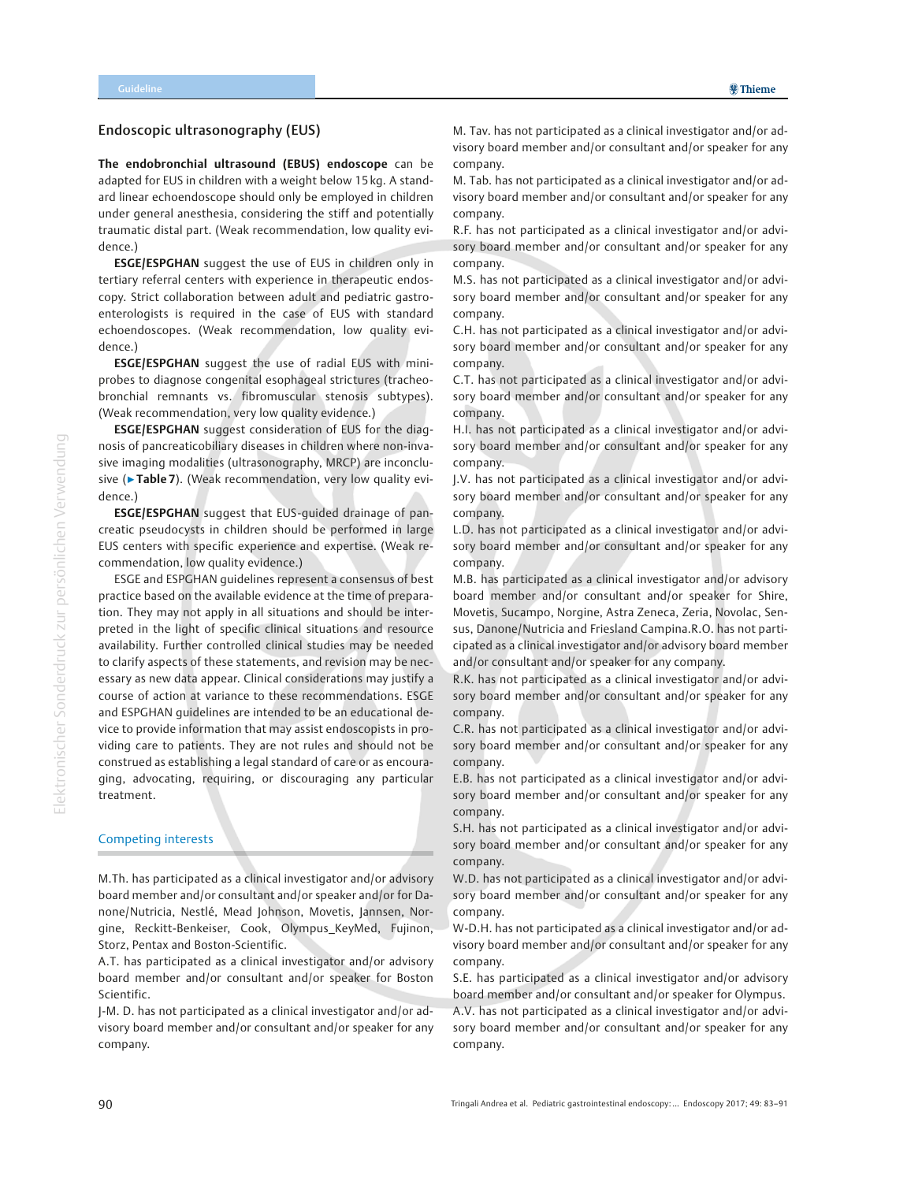### Endoscopic ultrasonography (EUS)

The endobronchial ultrasound (EBUS) endoscope can be adapted for EUS in children with a weight below 15 kg. A standard linear echoendoscope should only be employed in children under general anesthesia, considering the stiff and potentially traumatic distal part. (Weak recommendation, low quality evidence.)

ESGE/ESPGHAN suggest the use of EUS in children only in tertiary referral centers with experience in therapeutic endoscopy. Strict collaboration between adult and pediatric gastroenterologists is required in the case of EUS with standard echoendoscopes. (Weak recommendation, low quality evidence.)

ESGE/ESPGHAN suggest the use of radial EUS with miniprobes to diagnose congenital esophageal strictures (tracheobronchial remnants vs. fibromuscular stenosis subtypes). (Weak recommendation, very low quality evidence.)

ESGE/ESPGHAN suggest consideration of EUS for the diagnosis of pancreaticobiliary diseases in children where non-invasive imaging modalities (ultrasonography, MRCP) are inconclusive (▶Table 7). (Weak recommendation, very low quality evidence.)

ESGE/ESPGHAN suggest that EUS-guided drainage of pancreatic pseudocysts in children should be performed in large EUS centers with specific experience and expertise. (Weak recommendation, low quality evidence.)

ESGE and ESPGHAN guidelines represent a consensus of best practice based on the available evidence at the time of preparation. They may not apply in all situations and should be interpreted in the light of specific clinical situations and resource availability. Further controlled clinical studies may be needed to clarify aspects of these statements, and revision may be necessary as new data appear. Clinical considerations may justify a course of action at variance to these recommendations. ESGE and ESPGHAN guidelines are intended to be an educational device to provide information that may assist endoscopists in providing care to patients. They are not rules and should not be construed as establishing a legal standard of care or as encouraging, advocating, requiring, or discouraging any particular treatment.

#### Competing interests

M.Th. has participated as a clinical investigator and/or advisory board member and/or consultant and/or speaker and/or for Danone/Nutricia, Nestlé, Mead Johnson, Movetis, Jannsen, Norgine, Reckitt-Benkeiser, Cook, Olympus\_KeyMed, Fujinon, Storz, Pentax and Boston-Scientific.

A.T. has participated as a clinical investigator and/or advisory board member and/or consultant and/or speaker for Boston Scientific.

J-M. D. has not participated as a clinical investigator and/or advisory board member and/or consultant and/or speaker for any company.

M. Tav. has not participated as a clinical investigator and/or advisory board member and/or consultant and/or speaker for any company.

M. Tab. has not participated as a clinical investigator and/or advisory board member and/or consultant and/or speaker for any company.

R.F. has not participated as a clinical investigator and/or advisory board member and/or consultant and/or speaker for any company.

M.S. has not participated as a clinical investigator and/or advisory board member and/or consultant and/or speaker for any company.

C.H. has not participated as a clinical investigator and/or advisory board member and/or consultant and/or speaker for any company.

C.T. has not participated as a clinical investigator and/or advisory board member and/or consultant and/or speaker for any company.

H.I. has not participated as a clinical investigator and/or advisory board member and/or consultant and/or speaker for any company.

J.V. has not participated as a clinical investigator and/or advisory board member and/or consultant and/or speaker for any company.

L.D. has not participated as a clinical investigator and/or advisory board member and/or consultant and/or speaker for any company.

M.B. has participated as a clinical investigator and/or advisory board member and/or consultant and/or speaker for Shire, Movetis, Sucampo, Norgine, Astra Zeneca, Zeria, Novolac, Sensus, Danone/Nutricia and Friesland Campina.R.O. has not participated as a clinical investigator and/or advisory board member and/or consultant and/or speaker for any company.

R.K. has not participated as a clinical investigator and/or advisory board member and/or consultant and/or speaker for any company.

C.R. has not participated as a clinical investigator and/or advisory board member and/or consultant and/or speaker for any company.

E.B. has not participated as a clinical investigator and/or advisory board member and/or consultant and/or speaker for any company.

S.H. has not participated as a clinical investigator and/or advisory board member and/or consultant and/or speaker for any company.

W.D. has not participated as a clinical investigator and/or advisory board member and/or consultant and/or speaker for any company.

W-D.H. has not participated as a clinical investigator and/or advisory board member and/or consultant and/or speaker for any company.

S.E. has participated as a clinical investigator and/or advisory board member and/or consultant and/or speaker for Olympus.

A.V. has not participated as a clinical investigator and/or advisory board member and/or consultant and/or speaker for any company.